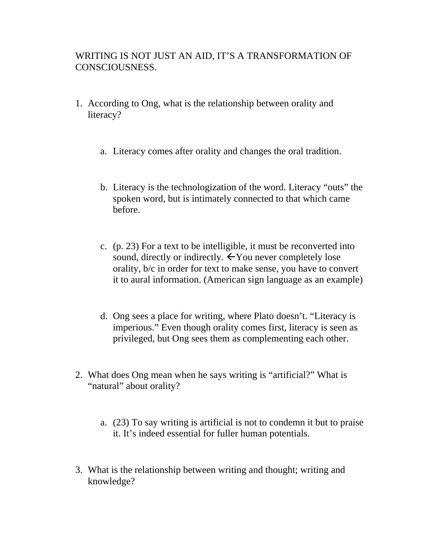## WRITING IS NOT JUST AN AID, IT'S A TRANSFORMATION OF CONSCIOUSNESS.

- 1. According to Ong, what is the relationship between orality and literacy?
	- a. Literacy comes after orality and changes the oral tradition.
	- b. Literacy is the technologization of the word. Literacy "outs" the spoken word, but is intimately connected to that which came before.
	- c. (p. 23) For a text to be intelligible, it must be reconverted into sound, directly or indirectly.  $\leftarrow$  You never completely lose orality, b/c in order for text to make sense, you have to convert it to aural information. (American sign language as an example)
	- d. Ong sees a place for writing, where Plato doesn't. "Literacy is imperious." Even though orality comes first, literacy is seen as privileged, but Ong sees them as complementing each other.
- 2. What does Ong mean when he says writing is "artificial?" What is "natural" about orality?
	- a. (23) To say writing is artificial is not to condemn it but to praise it. It's indeed essential for fuller human potentials.
- 3. What is the relationship between writing and thought; writing and knowledge?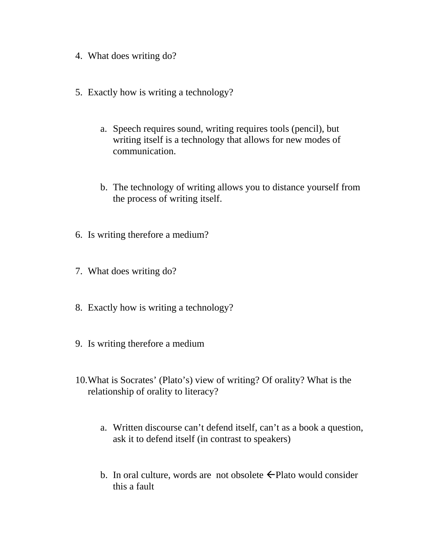- 4. What does writing do?
- 5. Exactly how is writing a technology?
	- a. Speech requires sound, writing requires tools (pencil), but writing itself is a technology that allows for new modes of communication.
	- b. The technology of writing allows you to distance yourself from the process of writing itself.
- 6. Is writing therefore a medium?
- 7. What does writing do?
- 8. Exactly how is writing a technology?
- 9. Is writing therefore a medium
- 10.What is Socrates' (Plato's) view of writing? Of orality? What is the relationship of orality to literacy?
	- a. Written discourse can't defend itself, can't as a book a question, ask it to defend itself (in contrast to speakers)
	- b. In oral culture, words are not obsolete  $\leftarrow$ Plato would consider this a fault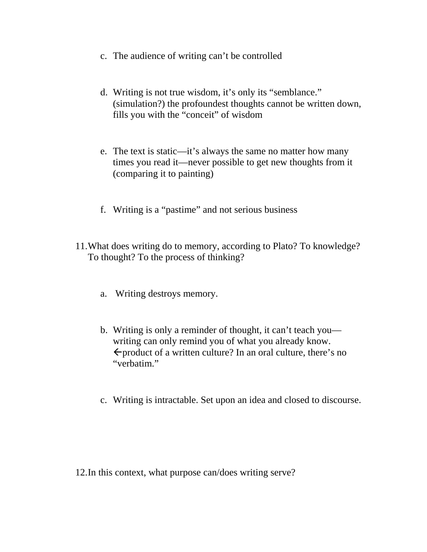- c. The audience of writing can't be controlled
- d. Writing is not true wisdom, it's only its "semblance." (simulation?) the profoundest thoughts cannot be written down, fills you with the "conceit" of wisdom
- e. The text is static—it's always the same no matter how many times you read it—never possible to get new thoughts from it (comparing it to painting)
- f. Writing is a "pastime" and not serious business
- 11.What does writing do to memory, according to Plato? To knowledge? To thought? To the process of thinking?
	- a. Writing destroys memory.
	- b. Writing is only a reminder of thought, it can't teach you writing can only remind you of what you already know.  $\leftarrow$  product of a written culture? In an oral culture, there's no "verbatim."
	- c. Writing is intractable. Set upon an idea and closed to discourse.

12.In this context, what purpose can/does writing serve?